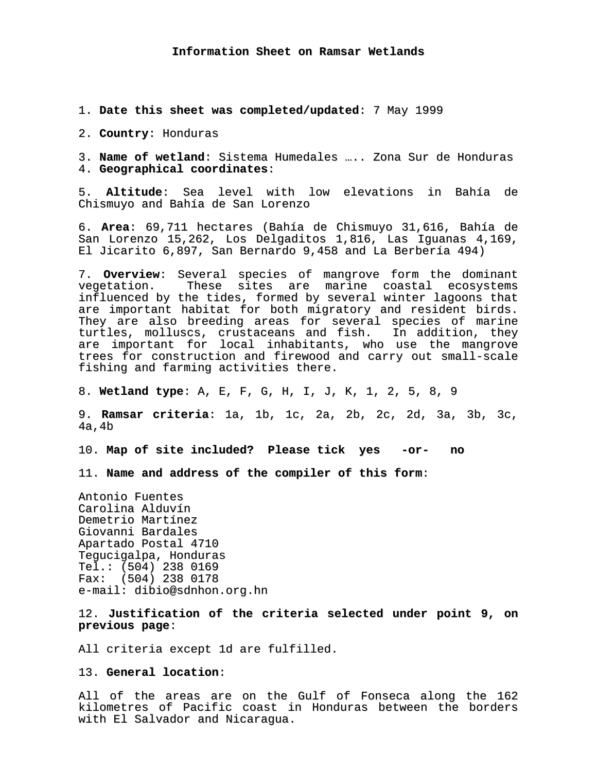1. **Date this sheet was completed/updated**: 7 May 1999

2. **Country**: Honduras

3. **Name of wetland**: Sistema Humedales ….. Zona Sur de Honduras 4. **Geographical coordinates**:

5. **Altitude**: Sea level with low elevations in Bahía de Chismuyo and Bahía de San Lorenzo

6. **Area**: 69,711 hectares (Bahía de Chismuyo 31,616, Bahía de San Lorenzo 15,262, Los Delgaditos 1,816, Las Iguanas 4,169, El Jicarito 6,897, San Bernardo 9,458 and La Berbería 494)

7. **Overview**: Several species of mangrove form the dominant vegetation. These sites are marine coastal ecosystems influenced by the tides, formed by several winter lagoons that are important habitat for both migratory and resident birds. They are also breeding areas for several species of marine turtles, molluscs, crustaceans and fish. In addition, they are important for local inhabitants, who use the mangrove trees for construction and firewood and carry out small-scale fishing and farming activities there.

8. **Wetland type**: A, E, F, G, H, I, J, K, 1, 2, 5, 8, 9

9. **Ramsar criteria**: 1a, 1b, 1c, 2a, 2b, 2c, 2d, 3a, 3b, 3c, 4a,4b

10. **Map of site included? Please tick yes -or- no**

11. **Name and address of the compiler of this form**:

Antonio Fuentes Carolina Alduvín Demetrio Martínez Giovanni Bardales Apartado Postal 4710 Tegucigalpa, Honduras Tel.: (504) 238 0169 Fax: (504) 238 0178 e-mail: dibio@sdnhon.org.hn

12. **Justification of the criteria selected under point 9, on previous page**:

All criteria except 1d are fulfilled.

13. **General location**:

All of the areas are on the Gulf of Fonseca along the 162 kilometres of Pacific coast in Honduras between the borders with El Salvador and Nicaragua.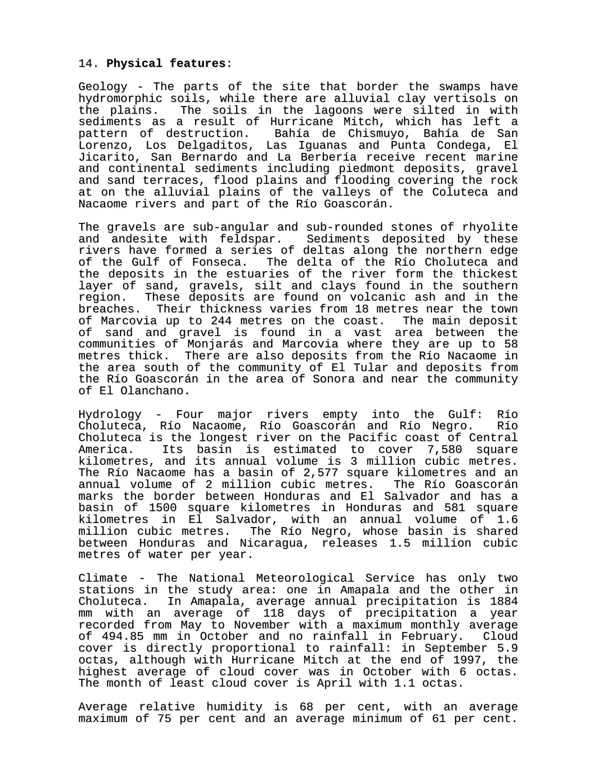### 14. **Physical features**:

Geology - The parts of the site that border the swamps have hydromorphic soils, while there are alluvial clay vertisols on the plains. The soils in the lagoons were silted in with sediments as a result of Hurricane Mitch, which has left a pattern of destruction. Bahía de Chismuyo, Bahía de San Lorenzo, Los Delgaditos, Las Iguanas and Punta Condega, El Jicarito, San Bernardo and La Berbería receive recent marine and continental sediments including piedmont deposits, gravel and sand terraces, flood plains and flooding covering the rock at on the alluvial plains of the valleys of the Coluteca and Nacaome rivers and part of the Río Goascorán.

The gravels are sub-angular and sub-rounded stones of rhyolite and andesite with feldspar. Sediments deposited by these rivers have formed a series of deltas along the northern edge of the Gulf of Fonseca. The delta of the Río Choluteca and the deposits in the estuaries of the river form the thickest layer of sand, gravels, silt and clays found in the southern region. These deposits are found on volcanic ash and in the breaches. Their thickness varies from 18 metres near the town of Marcovia up to 244 metres on the coast. The main deposit of sand and gravel is found in a vast area between the communities of Monjarás and Marcovia where they are up to 58 metres thick. There are also deposits from the Río Nacaome in the area south of the community of El Tular and deposits from the Río Goascorán in the area of Sonora and near the community of El Olanchano.

Hydrology - Four major rivers empty into the Gulf: Río Choluteca, Río Nacaome, Río Goascorán and Río Negro. Río Choluteca is the longest river on the Pacific coast of Central America. Its basin is estimated to cover 7,580 square kilometres, and its annual volume is 3 million cubic metres. The Río Nacaome has a basin of 2,577 square kilometres and an annual volume of 2 million cubic metres. The Río Goascorán marks the border between Honduras and El Salvador and has a basin of 1500 square kilometres in Honduras and 581 square kilometres in El Salvador, with an annual volume of 1.6 million cubic metres. The Río Negro, whose basin is shared between Honduras and Nicaragua, releases 1.5 million cubic metres of water per year.

Climate - The National Meteorological Service has only two stations in the study area: one in Amapala and the other in Choluteca. In Amapala, average annual precipitation is 1884 mm with an average of 118 days of precipitation a year recorded from May to November with a maximum monthly average of 494.85 mm in October and no rainfall in February. Cloud cover is directly proportional to rainfall: in September 5.9 octas, although with Hurricane Mitch at the end of 1997, the highest average of cloud cover was in October with 6 octas. The month of least cloud cover is April with 1.1 octas.

Average relative humidity is 68 per cent, with an average maximum of 75 per cent and an average minimum of 61 per cent.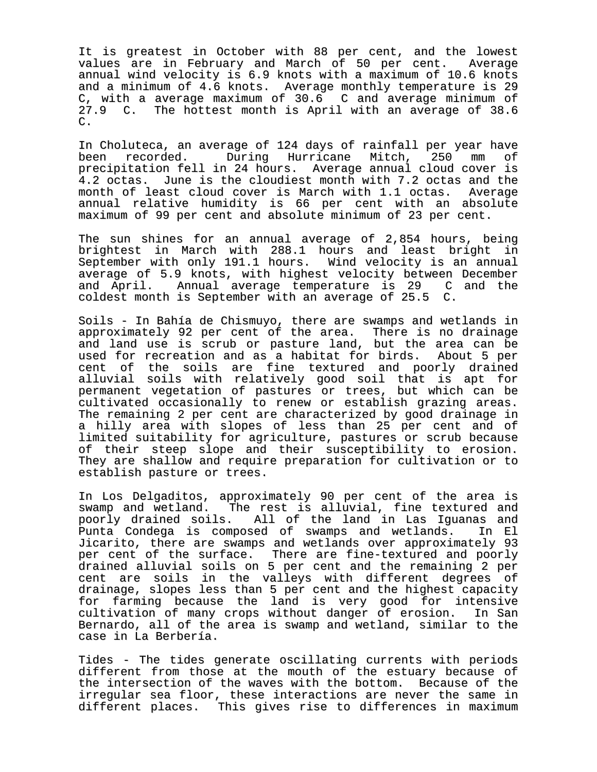It is greatest in October with 88 per cent, and the lowest values are in February and March of 50 per cent. Average annual wind velocity is 6.9 knots with a maximum of 10.6 knots and a minimum of 4.6 knots. Average monthly temperature is 29 C, with a average maximum of 30.6 C and average minimum of 27.9 C. The hottest month is April with an average of 38.6 C.

In Choluteca, an average of 124 days of rainfall per year have been recorded. During Hurricane Mitch, 250 mm of precipitation fell in 24 hours. Average annual cloud cover is 4.2 octas. June is the cloudiest month with 7.2 octas and the month of least cloud cover is March with 1.1 octas. Average annual relative humidity is 66 per cent with an absolute maximum of 99 per cent and absolute minimum of 23 per cent.

The sun shines for an annual average of 2,854 hours, being brightest in March with 288.1 hours and least bright in September with only 191.1 hours. Wind velocity is an annual average of 5.9 knots, with highest velocity between December and April. Annual average temperature is 29 C and the coldest month is September with an average of 25.5 C.

Soils - In Bahía de Chismuyo, there are swamps and wetlands in approximately 92 per cent of the area. There is no drainage and land use is scrub or pasture land, but the area can be used for recreation and as a habitat for birds. About 5 per cent of the soils are fine textured and poorly drained alluvial soils with relatively good soil that is apt for permanent vegetation of pastures or trees, but which can be cultivated occasionally to renew or establish grazing areas. The remaining 2 per cent are characterized by good drainage in a hilly area with slopes of less than 25 per cent and of limited suitability for agriculture, pastures or scrub because of their steep slope and their susceptibility to erosion. They are shallow and require preparation for cultivation or to establish pasture or trees.

In Los Delgaditos, approximately 90 per cent of the area is swamp and wetland. The rest is alluvial, fine textured and poorly drained soils. All of the land in Las Iguanas and Punta Condega is composed of swamps and wetlands. In El Jicarito, there are swamps and wetlands over approximately 93 per cent of the surface. There are fine-textured and poorly drained alluvial soils on 5 per cent and the remaining 2 per cent are soils in the valleys with different degrees of drainage, slopes less than 5 per cent and the highest capacity for farming because the land is very good for intensive cultivation of many crops without danger of erosion. In San Bernardo, all of the area is swamp and wetland, similar to the case in La Berbería.

Tides - The tides generate oscillating currents with periods different from those at the mouth of the estuary because of the intersection of the waves with the bottom. Because of the irregular sea floor, these interactions are never the same in different places. This gives rise to differences in maximum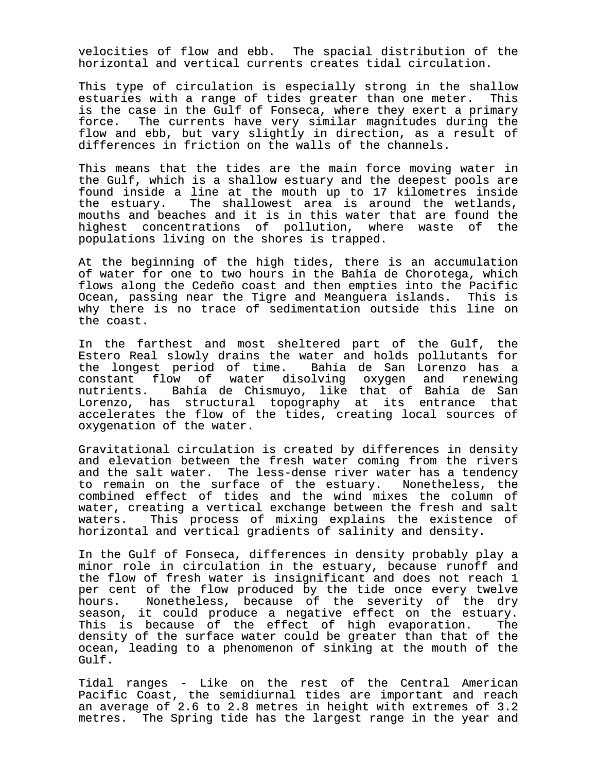velocities of flow and ebb. The spacial distribution of the horizontal and vertical currents creates tidal circulation.

This type of circulation is especially strong in the shallow estuaries with a range of tides greater than one meter. This is the case in the Gulf of Fonseca, where they exert a primary<br>force. The currents have very similar magnitudes during the The currents have very similar magnitudes during the flow and ebb, but vary slightly in direction, as a result of differences in friction on the walls of the channels.

This means that the tides are the main force moving water in the Gulf, which is a shallow estuary and the deepest pools are found inside a line at the mouth up to 17 kilometres inside the estuary. The shallowest area is around the wetlands, mouths and beaches and it is in this water that are found the highest concentrations of pollution, where waste of the populations living on the shores is trapped.

At the beginning of the high tides, there is an accumulation of water for one to two hours in the Bahía de Chorotega, which flows along the Cedeño coast and then empties into the Pacific Ocean, passing near the Tigre and Meanguera islands. This is why there is no trace of sedimentation outside this line on the coast.

In the farthest and most sheltered part of the Gulf, the Estero Real slowly drains the water and holds pollutants for the longest period of time. Bahía de San Lorenzo has a constant flow of water disolving oxygen and renewing nutrients. Bahía de Chismuyo, like that of Bahía de San Lorenzo, has structural topography at its entrance that accelerates the flow of the tides, creating local sources of oxygenation of the water.

Gravitational circulation is created by differences in density and elevation between the fresh water coming from the rivers and the salt water. The less-dense river water has a tendency to remain on the surface of the estuary. Nonetheless, the combined effect of tides and the wind mixes the column of water, creating a vertical exchange between the fresh and salt waters. This process of mixing explains the existence of horizontal and vertical gradients of salinity and density.

In the Gulf of Fonseca, differences in density probably play a minor role in circulation in the estuary, because runoff and the flow of fresh water is insignificant and does not reach 1 per cent of the flow produced by the tide once every twelve hours. Nonetheless, because of the severity of the dry season, it could produce a negative effect on the estuary. This is because of the effect of high evaporation. The density of the surface water could be greater than that of the ocean, leading to a phenomenon of sinking at the mouth of the Gulf.

Tidal ranges - Like on the rest of the Central American Pacific Coast, the semidiurnal tides are important and reach an average of 2.6 to 2.8 metres in height with extremes of 3.2 metres. The Spring tide has the largest range in the year and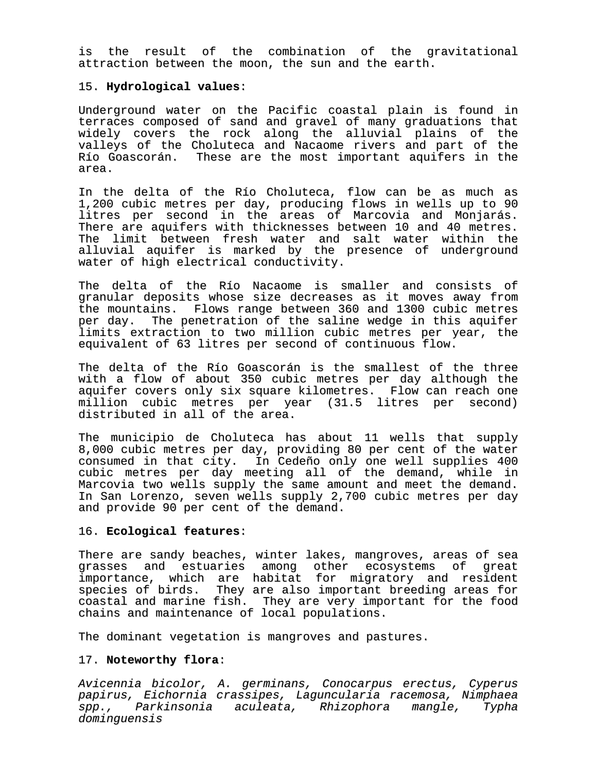is the result of the combination of the gravitational attraction between the moon, the sun and the earth.

### 15. **Hydrological values**:

Underground water on the Pacific coastal plain is found in terraces composed of sand and gravel of many graduations that widely covers the rock along the alluvial plains of the valleys of the Choluteca and Nacaome rivers and part of the Río Goascorán. These are the most important aquifers in the area.

In the delta of the Río Choluteca, flow can be as much as 1,200 cubic metres per day, producing flows in wells up to 90 litres per second in the areas of Marcovia and Monjarás. There are aquifers with thicknesses between 10 and 40 metres. The limit between fresh water and salt water within the alluvial aquifer is marked by the presence of underground water of high electrical conductivity.

The delta of the Río Nacaome is smaller and consists of granular deposits whose size decreases as it moves away from the mountains. Flows range between 360 and 1300 cubic metres per day. The penetration of the saline wedge in this aquifer limits extraction to two million cubic metres per year, the equivalent of 63 litres per second of continuous flow.

The delta of the Río Goascorán is the smallest of the three with a flow of about 350 cubic metres per day although the aquifer covers only six square kilometres. Flow can reach one million cubic metres per year (31.5 litres per second) distributed in all of the area.

The municipio de Choluteca has about 11 wells that supply 8,000 cubic metres per day, providing 80 per cent of the water consumed in that city. In Cedeño only one well supplies 400 cubic metres per day meeting all of the demand, while in Marcovia two wells supply the same amount and meet the demand. In San Lorenzo, seven wells supply 2,700 cubic metres per day and provide 90 per cent of the demand.

# 16. **Ecological features**:

There are sandy beaches, winter lakes, mangroves, areas of sea<br>grasses and estuaries among other ecosystems of great and estuaries among other ecosystems of great importance, which are habitat for migratory and resident species of birds. They are also important breeding areas for coastal and marine fish. They are very important for the food chains and maintenance of local populations.

The dominant vegetation is mangroves and pastures.

### 17. **Noteworthy flora**:

Avicennia bicolor, A. germinans, Conocarpus erectus, Cyperus papirus, Eichornia crassipes, Laguncularia racemosa, Nimphaea spp., Parkinsonia aculeata, Rhizophora mangle, Typha dominguensis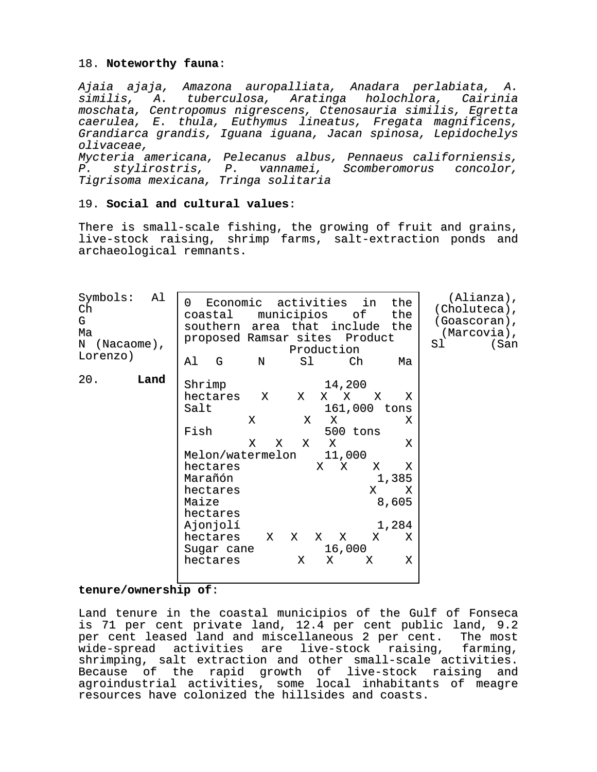## 18. **Noteworthy fauna**:

Ajaia ajaja, Amazona auropalliata, Anadara perlabiata, A. similis, A. tuberculosa, Aratinga holochlora, Cairinia moschata, Centropomus nigrescens, Ctenosauria similis, Egretta caerulea, E. thula, Euthymus lineatus, Fregata magnificens, Grandiarca grandis, Iguana iguana, Jacan spinosa, Lepidochelys olivaceae, Mycteria americana, Pelecanus albus, Pennaeus californiensis, P. stylirostris, P. vannamei, Scomberomorus concolor, Tigrisoma mexicana, Tringa solitaria

# 19. **Social and cultural values**:

There is small-scale fishing, the growing of fruit and grains, live-stock raising, shrimp farms, salt-extraction ponds and archaeological remnants.

| Symbols:<br>Al<br>Ch<br>G<br>Ma<br>$\mathbf N$<br>$(Nacaome)$ ,<br>Lorenzo) | Economic activities in<br>the<br>0<br>municipios<br>of<br>coastal<br>the<br>southern area that include the<br>proposed Ramsar sites Product<br>Production | $(Alianza)$ ,<br>(Choluteca),<br>(Goascoran),<br>(Marcovia),<br>Sl<br>(San |
|-----------------------------------------------------------------------------|-----------------------------------------------------------------------------------------------------------------------------------------------------------|----------------------------------------------------------------------------|
|                                                                             | Al<br>G<br>Sl<br>Ch<br>N<br>Ma                                                                                                                            |                                                                            |
| 20.<br>Land                                                                 | Shrimp<br>14,200                                                                                                                                          |                                                                            |
|                                                                             | hectares<br>X<br>х<br>Χ<br>X<br>X<br>X                                                                                                                    |                                                                            |
|                                                                             | 161,000 tons<br>Salt                                                                                                                                      |                                                                            |
|                                                                             | Χ<br>X<br>х<br>Χ                                                                                                                                          |                                                                            |
|                                                                             | Fish<br>500 tons                                                                                                                                          |                                                                            |
|                                                                             | X<br>X<br>X<br>X<br>X                                                                                                                                     |                                                                            |
|                                                                             | Melon/watermelon<br>11,000                                                                                                                                |                                                                            |
|                                                                             | hectares<br>X<br>X<br>X<br>Χ                                                                                                                              |                                                                            |
|                                                                             | Marañón<br>1,385                                                                                                                                          |                                                                            |
|                                                                             | hectares<br>X<br>х                                                                                                                                        |                                                                            |
|                                                                             | 8,605<br>Maize                                                                                                                                            |                                                                            |
|                                                                             | hectares                                                                                                                                                  |                                                                            |
|                                                                             | 1,284<br>Ajonjolí                                                                                                                                         |                                                                            |
|                                                                             | hectares<br>X<br>X X X<br>X<br>Χ                                                                                                                          |                                                                            |
|                                                                             | 16,000<br>Sugar cane                                                                                                                                      |                                                                            |
|                                                                             | Χ<br>Χ<br>hectares<br>Χ<br>X                                                                                                                              |                                                                            |
|                                                                             |                                                                                                                                                           |                                                                            |

# **tenure/ownership of**:

Land tenure in the coastal municipios of the Gulf of Fonseca is 71 per cent private land, 12.4 per cent public land, 9.2 per cent leased land and miscellaneous 2 per cent. The most wide-spread activities are live-stock raising, farming, shrimping, salt extraction and other small-scale activities. Because of the rapid growth of live-stock raising and agroindustrial activities, some local inhabitants of meagre resources have colonized the hillsides and coasts.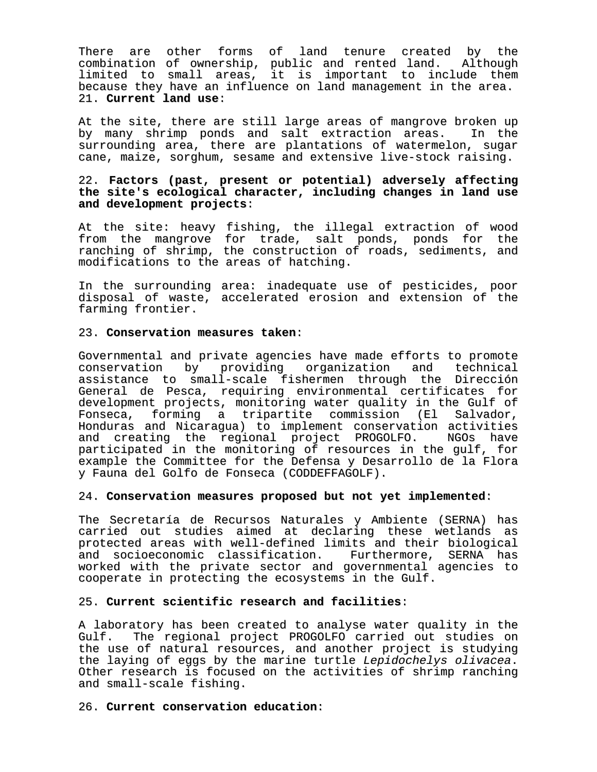There are other forms of land tenure created by the combination of ownership, public and rented land. Although limited to small areas, it is important to include them because they have an influence on land management in the area. 21. **Current land use**:

At the site, there are still large areas of mangrove broken up by many shrimp ponds and salt extraction areas. In the surrounding area, there are plantations of watermelon, sugar cane, maize, sorghum, sesame and extensive live-stock raising.

## 22. **Factors (past, present or potential) adversely affecting the site's ecological character, including changes in land use and development projects**:

At the site: heavy fishing, the illegal extraction of wood from the mangrove for trade, salt ponds, ponds for the ranching of shrimp, the construction of roads, sediments, and modifications to the areas of hatching.

In the surrounding area: inadequate use of pesticides, poor disposal of waste, accelerated erosion and extension of the farming frontier.

#### 23. **Conservation measures taken**:

Governmental and private agencies have made efforts to promote conservation by providing organization and technical assistance to small-scale fishermen through the Dirección General de Pesca, requiring environmental certificates for development projects, monitoring water quality in the Gulf of Fonseca, forming a tripartite commission (El Salvador, Honduras and Nicaragua) to implement conservation activities and creating the regional project PROGOLFO. NGOs have participated in the monitoring of resources in the gulf, for example the Committee for the Defensa y Desarrollo de la Flora y Fauna del Golfo de Fonseca (CODDEFFAGOLF).

#### 24. **Conservation measures proposed but not yet implemented**:

The Secretaría de Recursos Naturales y Ambiente (SERNA) has carried out studies aimed at declaring these wetlands as protected areas with well-defined limits and their biological and socioeconomic classification. Furthermore, SERNA has worked with the private sector and governmental agencies to cooperate in protecting the ecosystems in the Gulf.

# 25. **Current scientific research and facilities**:

A laboratory has been created to analyse water quality in the Gulf. The regional project PROGOLFO carried out studies on the use of natural resources, and another project is studying the laying of eggs by the marine turtle Lepidochelys olivacea. Other research is focused on the activities of shrimp ranching and small-scale fishing.

#### 26. **Current conservation education**: